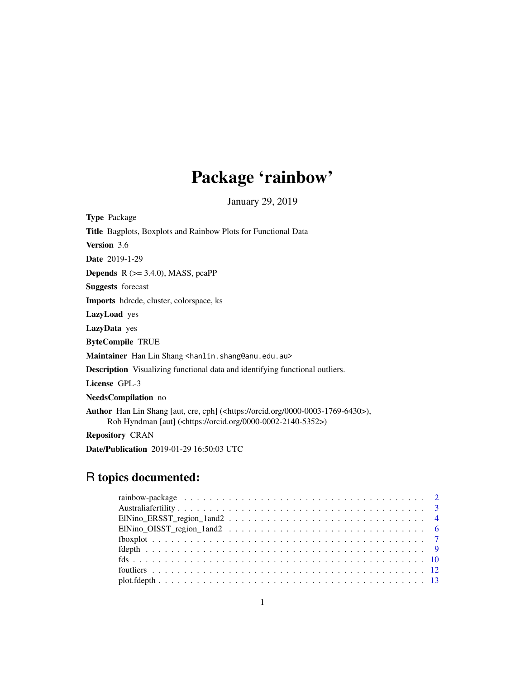# Package 'rainbow'

January 29, 2019

<span id="page-0-0"></span>

| <b>Type Package</b>                                                                                                                                                                 |
|-------------------------------------------------------------------------------------------------------------------------------------------------------------------------------------|
| <b>Title</b> Bagplots, Boxplots and Rainbow Plots for Functional Data                                                                                                               |
| <b>Version</b> 3.6                                                                                                                                                                  |
| <b>Date</b> 2019-1-29                                                                                                                                                               |
| <b>Depends</b> $R$ ( $> = 3.4.0$ ), MASS, pcaPP                                                                                                                                     |
| <b>Suggests</b> forecast                                                                                                                                                            |
| <b>Imports</b> hdrede, cluster, colorspace, ks                                                                                                                                      |
| <b>LazyLoad</b> yes                                                                                                                                                                 |
| LazyData yes                                                                                                                                                                        |
| <b>ByteCompile TRUE</b>                                                                                                                                                             |
| Maintainer Han Lin Shang <hanlin.shang@anu.edu.au></hanlin.shang@anu.edu.au>                                                                                                        |
| <b>Description</b> Visualizing functional data and identifying functional outliers.                                                                                                 |
| License GPL-3                                                                                                                                                                       |
| NeedsCompilation no                                                                                                                                                                 |
| <b>Author</b> Han Lin Shang [aut, cre, cph] ( <https: 0000-0003-1769-6430="" orcid.org="">),<br/>Rob Hyndman [aut] (<https: 0000-0002-2140-5352="" orcid.org="">)</https:></https:> |
| <b>Repository CRAN</b>                                                                                                                                                              |

Date/Publication 2019-01-29 16:50:03 UTC

# R topics documented:

| $EINino_O I S S T_{region\_1}$ and $2 \ldots \ldots \ldots \ldots \ldots \ldots \ldots \ldots \ldots \ldots \ldots \ldots \ldots$ |  |
|-----------------------------------------------------------------------------------------------------------------------------------|--|
|                                                                                                                                   |  |
|                                                                                                                                   |  |
|                                                                                                                                   |  |
|                                                                                                                                   |  |
|                                                                                                                                   |  |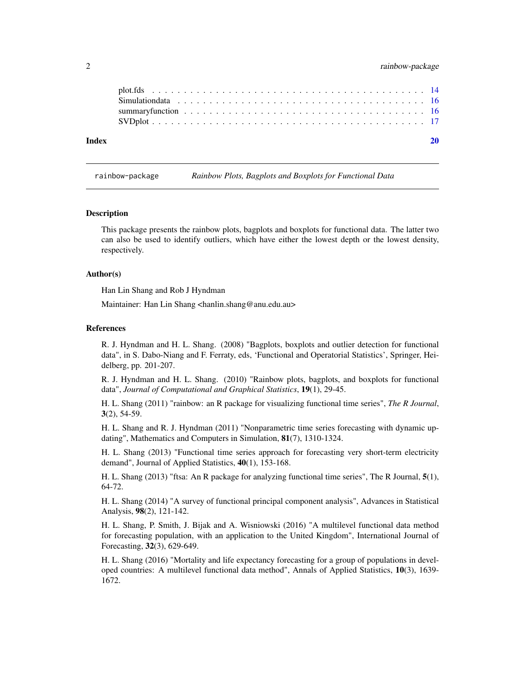<span id="page-1-0"></span>

| Index |                                                                                                               |  |
|-------|---------------------------------------------------------------------------------------------------------------|--|
|       |                                                                                                               |  |
|       | summary function $\ldots \ldots \ldots \ldots \ldots \ldots \ldots \ldots \ldots \ldots \ldots \ldots \ldots$ |  |
|       |                                                                                                               |  |
|       |                                                                                                               |  |

rainbow-package *Rainbow Plots, Bagplots and Boxplots for Functional Data*

#### **Description**

This package presents the rainbow plots, bagplots and boxplots for functional data. The latter two can also be used to identify outliers, which have either the lowest depth or the lowest density, respectively.

#### Author(s)

Han Lin Shang and Rob J Hyndman

Maintainer: Han Lin Shang <hanlin.shang@anu.edu.au>

#### References

R. J. Hyndman and H. L. Shang. (2008) "Bagplots, boxplots and outlier detection for functional data", in S. Dabo-Niang and F. Ferraty, eds, 'Functional and Operatorial Statistics', Springer, Heidelberg, pp. 201-207.

R. J. Hyndman and H. L. Shang. (2010) "Rainbow plots, bagplots, and boxplots for functional data", *Journal of Computational and Graphical Statistics*, 19(1), 29-45.

H. L. Shang (2011) "rainbow: an R package for visualizing functional time series", *The R Journal*,  $3(2)$ , 54-59.

H. L. Shang and R. J. Hyndman (2011) "Nonparametric time series forecasting with dynamic updating", Mathematics and Computers in Simulation, 81(7), 1310-1324.

H. L. Shang (2013) "Functional time series approach for forecasting very short-term electricity demand", Journal of Applied Statistics, 40(1), 153-168.

H. L. Shang (2013) "ftsa: An R package for analyzing functional time series", The R Journal, 5(1), 64-72.

H. L. Shang (2014) "A survey of functional principal component analysis", Advances in Statistical Analysis, 98(2), 121-142.

H. L. Shang, P. Smith, J. Bijak and A. Wisniowski (2016) "A multilevel functional data method for forecasting population, with an application to the United Kingdom", International Journal of Forecasting, 32(3), 629-649.

H. L. Shang (2016) "Mortality and life expectancy forecasting for a group of populations in developed countries: A multilevel functional data method", Annals of Applied Statistics, 10(3), 1639- 1672.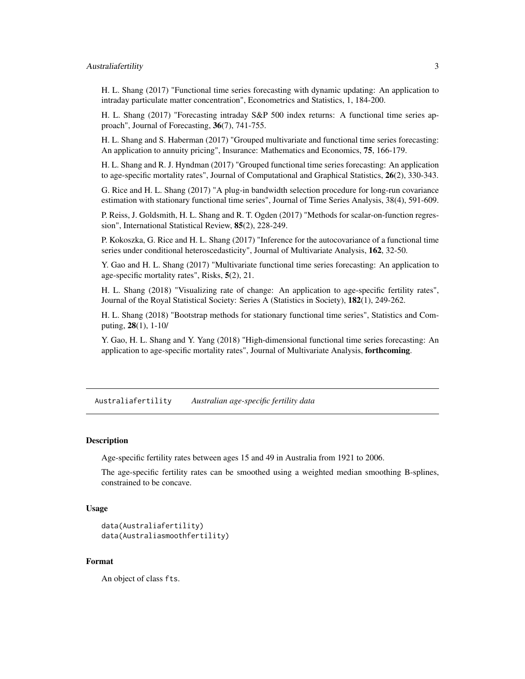# <span id="page-2-0"></span>Australiafertility 3

H. L. Shang (2017) "Functional time series forecasting with dynamic updating: An application to intraday particulate matter concentration", Econometrics and Statistics, 1, 184-200.

H. L. Shang (2017) "Forecasting intraday S&P 500 index returns: A functional time series approach", Journal of Forecasting, 36(7), 741-755.

H. L. Shang and S. Haberman (2017) "Grouped multivariate and functional time series forecasting: An application to annuity pricing", Insurance: Mathematics and Economics, 75, 166-179.

H. L. Shang and R. J. Hyndman (2017) "Grouped functional time series forecasting: An application to age-specific mortality rates", Journal of Computational and Graphical Statistics, 26(2), 330-343.

G. Rice and H. L. Shang (2017) "A plug-in bandwidth selection procedure for long-run covariance estimation with stationary functional time series", Journal of Time Series Analysis, 38(4), 591-609.

P. Reiss, J. Goldsmith, H. L. Shang and R. T. Ogden (2017) "Methods for scalar-on-function regression", International Statistical Review, 85(2), 228-249.

P. Kokoszka, G. Rice and H. L. Shang (2017) "Inference for the autocovariance of a functional time series under conditional heteroscedasticity", Journal of Multivariate Analysis, 162, 32-50.

Y. Gao and H. L. Shang (2017) "Multivariate functional time series forecasting: An application to age-specific mortality rates", Risks, 5(2), 21.

H. L. Shang (2018) "Visualizing rate of change: An application to age-specific fertility rates", Journal of the Royal Statistical Society: Series A (Statistics in Society), 182(1), 249-262.

H. L. Shang (2018) "Bootstrap methods for stationary functional time series", Statistics and Computing, 28(1), 1-10/

Y. Gao, H. L. Shang and Y. Yang (2018) "High-dimensional functional time series forecasting: An application to age-specific mortality rates", Journal of Multivariate Analysis, **forthcoming**.

Australiafertility *Australian age-specific fertility data*

#### Description

Age-specific fertility rates between ages 15 and 49 in Australia from 1921 to 2006.

The age-specific fertility rates can be smoothed using a weighted median smoothing B-splines, constrained to be concave.

### Usage

```
data(Australiafertility)
data(Australiasmoothfertility)
```
# Format

An object of class fts.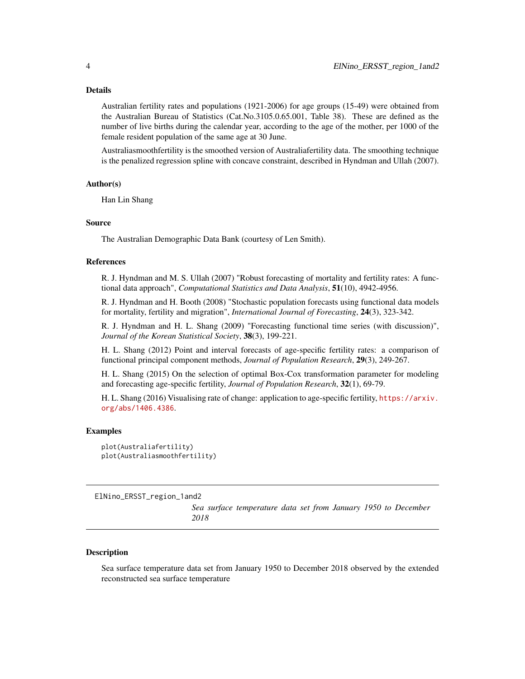#### <span id="page-3-0"></span>Details

Australian fertility rates and populations (1921-2006) for age groups (15-49) were obtained from the Australian Bureau of Statistics (Cat.No.3105.0.65.001, Table 38). These are defined as the number of live births during the calendar year, according to the age of the mother, per 1000 of the female resident population of the same age at 30 June.

Australiasmoothfertility is the smoothed version of Australiafertility data. The smoothing technique is the penalized regression spline with concave constraint, described in Hyndman and Ullah (2007).

#### Author(s)

Han Lin Shang

# Source

The Australian Demographic Data Bank (courtesy of Len Smith).

#### References

R. J. Hyndman and M. S. Ullah (2007) "Robust forecasting of mortality and fertility rates: A functional data approach", *Computational Statistics and Data Analysis*, 51(10), 4942-4956.

R. J. Hyndman and H. Booth (2008) "Stochastic population forecasts using functional data models for mortality, fertility and migration", *International Journal of Forecasting*, 24(3), 323-342.

R. J. Hyndman and H. L. Shang (2009) "Forecasting functional time series (with discussion)", *Journal of the Korean Statistical Society*, 38(3), 199-221.

H. L. Shang (2012) Point and interval forecasts of age-specific fertility rates: a comparison of functional principal component methods, *Journal of Population Research*, 29(3), 249-267.

H. L. Shang (2015) On the selection of optimal Box-Cox transformation parameter for modeling and forecasting age-specific fertility, *Journal of Population Research*, 32(1), 69-79.

H. L. Shang (2016) Visualising rate of change: application to age-specific fertility, [https://arxiv.](https://arxiv.org/abs/1406.4386) [org/abs/1406.4386](https://arxiv.org/abs/1406.4386).

#### Examples

```
plot(Australiafertility)
plot(Australiasmoothfertility)
```
ElNino\_ERSST\_region\_1and2

*Sea surface temperature data set from January 1950 to December 2018*

#### Description

Sea surface temperature data set from January 1950 to December 2018 observed by the extended reconstructed sea surface temperature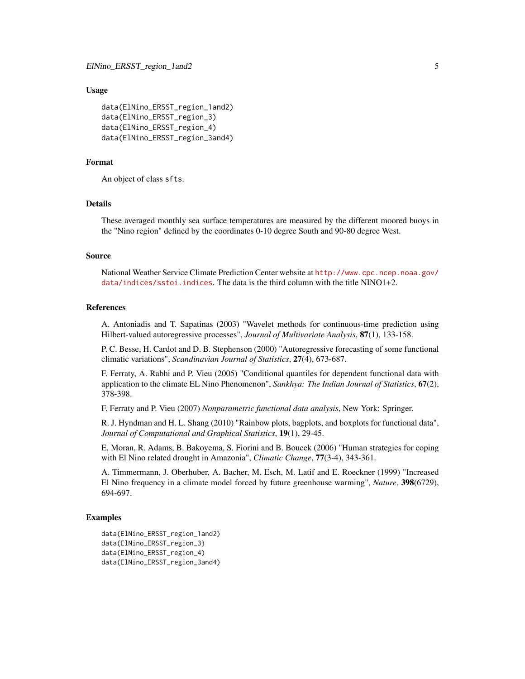#### Usage

```
data(ElNino_ERSST_region_1and2)
data(ElNino_ERSST_region_3)
data(ElNino_ERSST_region_4)
data(ElNino_ERSST_region_3and4)
```
#### Format

An object of class sfts.

# Details

These averaged monthly sea surface temperatures are measured by the different moored buoys in the "Nino region" defined by the coordinates 0-10 degree South and 90-80 degree West.

#### Source

National Weather Service Climate Prediction Center website at [http://www.cpc.ncep.noaa.gov/](http://www.cpc.ncep.noaa.gov/data/indices/sstoi.indices) [data/indices/sstoi.indices](http://www.cpc.ncep.noaa.gov/data/indices/sstoi.indices). The data is the third column with the title NINO1+2.

#### References

A. Antoniadis and T. Sapatinas (2003) "Wavelet methods for continuous-time prediction using Hilbert-valued autoregressive processes", *Journal of Multivariate Analysis*, 87(1), 133-158.

P. C. Besse, H. Cardot and D. B. Stephenson (2000) "Autoregressive forecasting of some functional climatic variations", *Scandinavian Journal of Statistics*, 27(4), 673-687.

F. Ferraty, A. Rabhi and P. Vieu (2005) "Conditional quantiles for dependent functional data with application to the climate EL Nino Phenomenon", *Sankhya: The Indian Journal of Statistics*, 67(2), 378-398.

F. Ferraty and P. Vieu (2007) *Nonparametric functional data analysis*, New York: Springer.

R. J. Hyndman and H. L. Shang (2010) "Rainbow plots, bagplots, and boxplots for functional data", *Journal of Computational and Graphical Statistics*, 19(1), 29-45.

E. Moran, R. Adams, B. Bakoyema, S. Fiorini and B. Boucek (2006) "Human strategies for coping with El Nino related drought in Amazonia", *Climatic Change*, 77(3-4), 343-361.

A. Timmermann, J. Oberhuber, A. Bacher, M. Esch, M. Latif and E. Roeckner (1999) "Increased El Nino frequency in a climate model forced by future greenhouse warming", *Nature*, 398(6729), 694-697.

#### Examples

```
data(ElNino_ERSST_region_1and2)
data(ElNino_ERSST_region_3)
data(ElNino_ERSST_region_4)
data(ElNino_ERSST_region_3and4)
```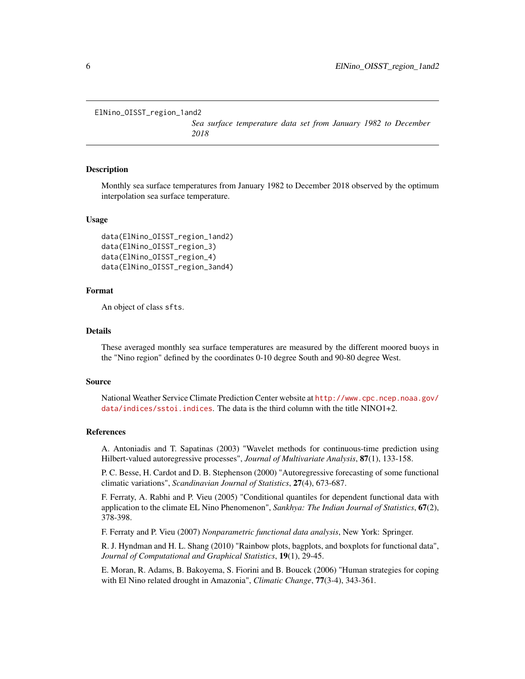```
ElNino_OISST_region_1and2
```
*Sea surface temperature data set from January 1982 to December 2018*

#### Description

Monthly sea surface temperatures from January 1982 to December 2018 observed by the optimum interpolation sea surface temperature.

#### Usage

```
data(ElNino_OISST_region_1and2)
data(ElNino_OISST_region_3)
data(ElNino_OISST_region_4)
data(ElNino_OISST_region_3and4)
```
#### Format

An object of class sfts.

# Details

These averaged monthly sea surface temperatures are measured by the different moored buoys in the "Nino region" defined by the coordinates 0-10 degree South and 90-80 degree West.

#### Source

National Weather Service Climate Prediction Center website at [http://www.cpc.ncep.noaa.gov/](http://www.cpc.ncep.noaa.gov/data/indices/sstoi.indices) [data/indices/sstoi.indices](http://www.cpc.ncep.noaa.gov/data/indices/sstoi.indices). The data is the third column with the title NINO1+2.

#### References

A. Antoniadis and T. Sapatinas (2003) "Wavelet methods for continuous-time prediction using Hilbert-valued autoregressive processes", *Journal of Multivariate Analysis*, 87(1), 133-158.

P. C. Besse, H. Cardot and D. B. Stephenson (2000) "Autoregressive forecasting of some functional climatic variations", *Scandinavian Journal of Statistics*, 27(4), 673-687.

F. Ferraty, A. Rabhi and P. Vieu (2005) "Conditional quantiles for dependent functional data with application to the climate EL Nino Phenomenon", *Sankhya: The Indian Journal of Statistics*, 67(2), 378-398.

F. Ferraty and P. Vieu (2007) *Nonparametric functional data analysis*, New York: Springer.

R. J. Hyndman and H. L. Shang (2010) "Rainbow plots, bagplots, and boxplots for functional data", *Journal of Computational and Graphical Statistics*, 19(1), 29-45.

E. Moran, R. Adams, B. Bakoyema, S. Fiorini and B. Boucek (2006) "Human strategies for coping with El Nino related drought in Amazonia", *Climatic Change*, 77(3-4), 343-361.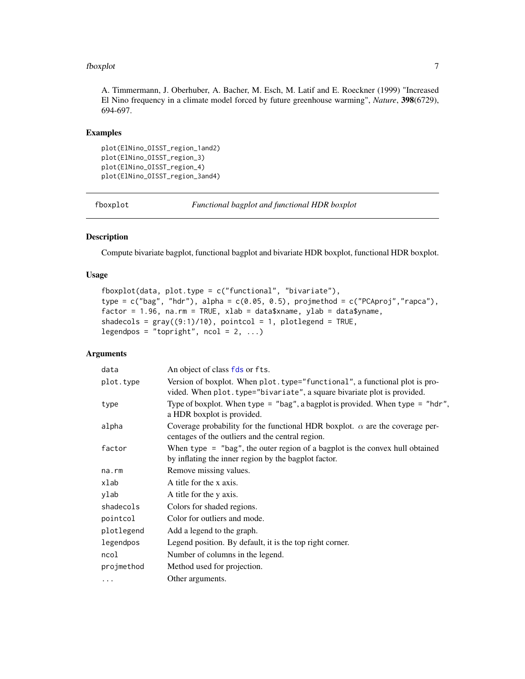#### <span id="page-6-0"></span>fboxplot 7 and 7 and 7 and 7 and 7 and 7 and 7 and 7 and 7 and 7 and 7 and 7 and 7 and 7 and 7 and 7 and 7 and 7 and 7 and 7 and 7 and 7 and 7 and 7 and 7 and 7 and 7 and 7 and 7 and 7 and 7 and 7 and 7 and 7 and 7 and 7 a

A. Timmermann, J. Oberhuber, A. Bacher, M. Esch, M. Latif and E. Roeckner (1999) "Increased El Nino frequency in a climate model forced by future greenhouse warming", *Nature*, 398(6729), 694-697.

# Examples

```
plot(ElNino_OISST_region_1and2)
plot(ElNino_OISST_region_3)
plot(ElNino_OISST_region_4)
plot(ElNino_OISST_region_3and4)
```
<span id="page-6-1"></span>fboxplot *Functional bagplot and functional HDR boxplot*

# Description

Compute bivariate bagplot, functional bagplot and bivariate HDR boxplot, functional HDR boxplot.

# Usage

```
fboxplot(data, plot.type = c("functional", "bivariate"),
type = c("bag", "hdr"), alpha = c(0.05, 0.5), projmethod = c("PCAproj", "rapca"),factor = 1.96, na.rm = TRUE, xlab = data$xname, ylab = data$yname,
shadecols = gray((9:1)/10), pointcol = 1, plotlegend = TRUE,
legendpos = "topright", ncol = 2, ...)
```
# Arguments

| data       | An object of class fds or fts.                                                                                                                         |
|------------|--------------------------------------------------------------------------------------------------------------------------------------------------------|
| plot.type  | Version of boxplot. When plot. type="functional", a functional plot is pro-<br>vided. When plot.type="bivariate", a square bivariate plot is provided. |
| type       | Type of boxplot. When type = "bag", a bagplot is provided. When type = "hdr",<br>a HDR boxplot is provided.                                            |
| alpha      | Coverage probability for the functional HDR boxplot. $\alpha$ are the coverage per-<br>centages of the outliers and the central region.                |
| factor     | When type $=$ "bag", the outer region of a bagplot is the convex hull obtained<br>by inflating the inner region by the bagplot factor.                 |
| na.rm      | Remove missing values.                                                                                                                                 |
| xlab       | A title for the x axis.                                                                                                                                |
| ylab       | A title for the y axis.                                                                                                                                |
| shadecols  | Colors for shaded regions.                                                                                                                             |
| pointcol   | Color for outliers and mode.                                                                                                                           |
| plotlegend | Add a legend to the graph.                                                                                                                             |
| legendpos  | Legend position. By default, it is the top right corner.                                                                                               |
| ncol       | Number of columns in the legend.                                                                                                                       |
| projmethod | Method used for projection.                                                                                                                            |
| .          | Other arguments.                                                                                                                                       |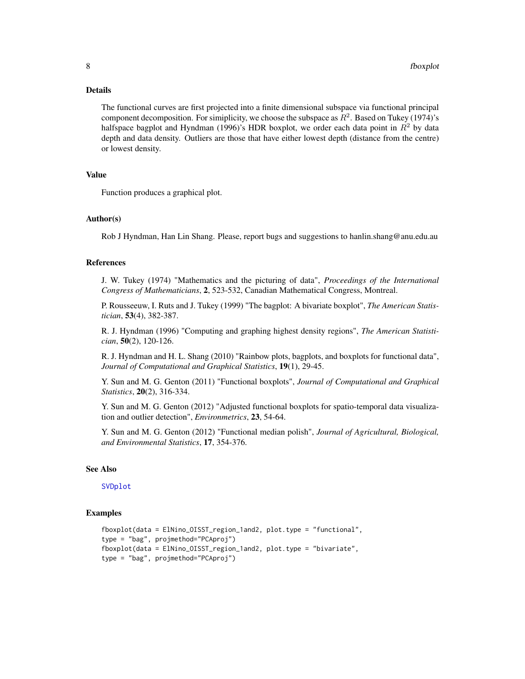#### <span id="page-7-0"></span>Details

The functional curves are first projected into a finite dimensional subspace via functional principal component decomposition. For simiplicity, we choose the subspace as  $R^2$ . Based on Tukey (1974)'s halfspace bagplot and Hyndman (1996)'s HDR boxplot, we order each data point in  $R^2$  by data depth and data density. Outliers are those that have either lowest depth (distance from the centre) or lowest density.

# Value

Function produces a graphical plot.

#### Author(s)

Rob J Hyndman, Han Lin Shang. Please, report bugs and suggestions to hanlin.shang@anu.edu.au

#### References

J. W. Tukey (1974) "Mathematics and the picturing of data", *Proceedings of the International Congress of Mathematicians*, 2, 523-532, Canadian Mathematical Congress, Montreal.

P. Rousseeuw, I. Ruts and J. Tukey (1999) "The bagplot: A bivariate boxplot", *The American Statistician*, 53(4), 382-387.

R. J. Hyndman (1996) "Computing and graphing highest density regions", *The American Statistician*, 50(2), 120-126.

R. J. Hyndman and H. L. Shang (2010) "Rainbow plots, bagplots, and boxplots for functional data", *Journal of Computational and Graphical Statistics*, 19(1), 29-45.

Y. Sun and M. G. Genton (2011) "Functional boxplots", *Journal of Computational and Graphical Statistics*, 20(2), 316-334.

Y. Sun and M. G. Genton (2012) "Adjusted functional boxplots for spatio-temporal data visualization and outlier detection", *Environmetrics*, 23, 54-64.

Y. Sun and M. G. Genton (2012) "Functional median polish", *Journal of Agricultural, Biological, and Environmental Statistics*, 17, 354-376.

#### See Also

#### [SVDplot](#page-16-1)

# Examples

```
fboxplot(data = ElNino_OISST_region_1and2, plot.type = "functional",
type = "bag", projmethod="PCAproj")
fboxplot(data = ElNino_OISST_region_1and2, plot.type = "bivariate",
type = "bag", projmethod="PCAproj")
```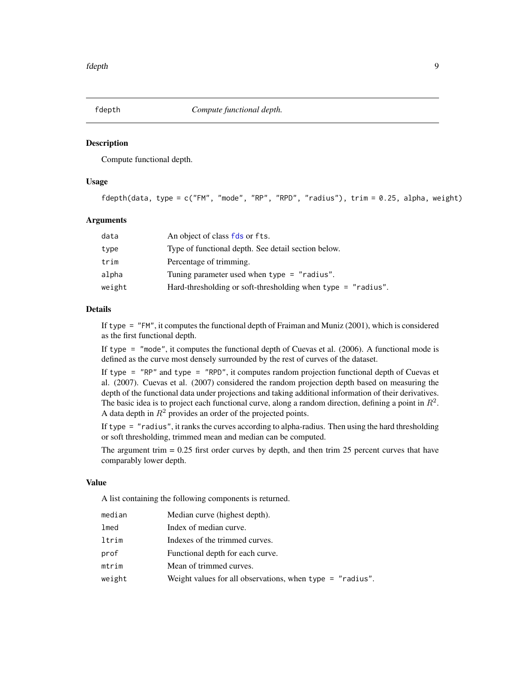<span id="page-8-1"></span><span id="page-8-0"></span>

#### **Description**

Compute functional depth.

# Usage

fdepth(data, type = c("FM", "mode", "RP", "RPD", "radius"), trim = 0.25, alpha, weight)

#### Arguments

| data   | An object of class fds or fts.                                 |
|--------|----------------------------------------------------------------|
| type   | Type of functional depth. See detail section below.            |
| trim   | Percentage of trimming.                                        |
| alpha  | Tuning parameter used when $type = "radius".$                  |
| weight | Hard-thresholding or soft-thresholding when type $=$ "radius". |

#### Details

If type = "FM", it computes the functional depth of Fraiman and Muniz (2001), which is considered as the first functional depth.

If type = "mode", it computes the functional depth of Cuevas et al. (2006). A functional mode is defined as the curve most densely surrounded by the rest of curves of the dataset.

If type = "RP" and type = "RPD", it computes random projection functional depth of Cuevas et al. (2007). Cuevas et al. (2007) considered the random projection depth based on measuring the depth of the functional data under projections and taking additional information of their derivatives. The basic idea is to project each functional curve, along a random direction, defining a point in  $R^2$ . A data depth in  $R^2$  provides an order of the projected points.

If type = "radius", it ranks the curves according to alpha-radius. Then using the hard thresholding or soft thresholding, trimmed mean and median can be computed.

The argument trim  $= 0.25$  first order curves by depth, and then trim 25 percent curves that have comparably lower depth.

#### Value

A list containing the following components is returned.

| median | Median curve (highest depth).                               |
|--------|-------------------------------------------------------------|
| lmed   | Index of median curve.                                      |
| ltrim  | Indexes of the trimmed curves.                              |
| prof   | Functional depth for each curve.                            |
| mtrim  | Mean of trimmed curves.                                     |
| weight | Weight values for all observations, when type $=$ "radius". |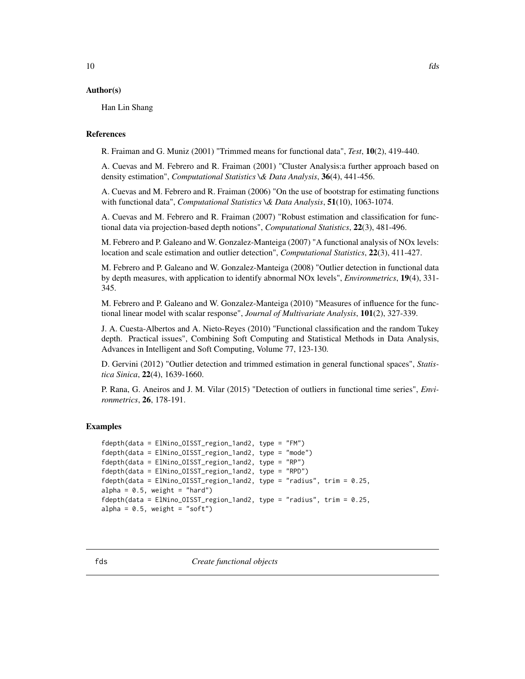### <span id="page-9-0"></span>Author(s)

Han Lin Shang

#### References

R. Fraiman and G. Muniz (2001) "Trimmed means for functional data", *Test*, 10(2), 419-440.

A. Cuevas and M. Febrero and R. Fraiman (2001) "Cluster Analysis:a further approach based on density estimation", *Computational Statistics \& Data Analysis*, 36(4), 441-456.

A. Cuevas and M. Febrero and R. Fraiman (2006) "On the use of bootstrap for estimating functions with functional data", *Computational Statistics \& Data Analysis*, 51(10), 1063-1074.

A. Cuevas and M. Febrero and R. Fraiman (2007) "Robust estimation and classification for functional data via projection-based depth notions", *Computational Statistics*, 22(3), 481-496.

M. Febrero and P. Galeano and W. Gonzalez-Manteiga (2007) "A functional analysis of NOx levels: location and scale estimation and outlier detection", *Computational Statistics*, 22(3), 411-427.

M. Febrero and P. Galeano and W. Gonzalez-Manteiga (2008) "Outlier detection in functional data by depth measures, with application to identify abnormal NOx levels", *Environmetrics*, 19(4), 331- 345.

M. Febrero and P. Galeano and W. Gonzalez-Manteiga (2010) "Measures of influence for the functional linear model with scalar response", *Journal of Multivariate Analysis*, 101(2), 327-339.

J. A. Cuesta-Albertos and A. Nieto-Reyes (2010) "Functional classification and the random Tukey depth. Practical issues", Combining Soft Computing and Statistical Methods in Data Analysis, Advances in Intelligent and Soft Computing, Volume 77, 123-130.

D. Gervini (2012) "Outlier detection and trimmed estimation in general functional spaces", *Statistica Sinica*, 22(4), 1639-1660.

P. Rana, G. Aneiros and J. M. Vilar (2015) "Detection of outliers in functional time series", *Environmetrics*, 26, 178-191.

#### Examples

```
fdepth(data = ElNino_OISST_region_1and2, type = "FM")
fdepth(data = ElNino_OISST_region_1and2, type = "mode")
fdepth(data = ElNino_OISST_region_1and2, type = "RP")
fdepth(data = ElNino_OISST_region_1and2, type = "RPD")
fdepth(data = ElNino_OISST_region_1and2, type = "radius", trim = 0.25,
alpha = 0.5, weight = "hard")
fdepth(data = ElNino_OISST_region_1and2, type = "radius", trim = 0.25,
alpha = 0.5, weight = "soft")
```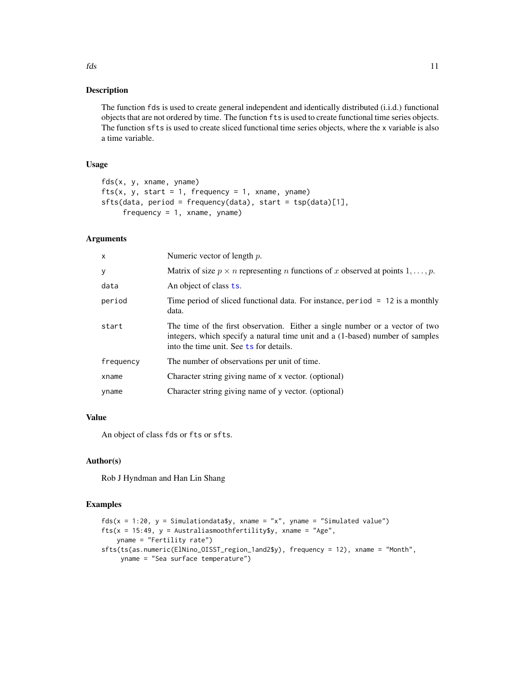#### Description

The function fds is used to create general independent and identically distributed (i.i.d.) functional objects that are not ordered by time. The function fts is used to create functional time series objects. The function sfts is used to create sliced functional time series objects, where the x variable is also a time variable.

# Usage

```
fds(x, y, xname, yname)
fts(x, y, start = 1, frequency = 1, xname, yname)
sfts(data, period = frequency(data), start = tsp(data)[1],
     frequency = 1, xname, yname)
```
### Arguments

| X         | Numeric vector of length $p$ .                                                                                                                                                                           |
|-----------|----------------------------------------------------------------------------------------------------------------------------------------------------------------------------------------------------------|
| У         | Matrix of size $p \times n$ representing <i>n</i> functions of <i>x</i> observed at points 1, , <i>p</i> .                                                                                               |
| data      | An object of class ts.                                                                                                                                                                                   |
| period    | Time period of sliced functional data. For instance, period $= 12$ is a monthly<br>data.                                                                                                                 |
| start     | The time of the first observation. Either a single number or a vector of two<br>integers, which specify a natural time unit and a (1-based) number of samples<br>into the time unit. See ts for details. |
| frequency | The number of observations per unit of time.                                                                                                                                                             |
| xname     | Character string giving name of x vector. (optional)                                                                                                                                                     |
| yname     | Character string giving name of y vector. (optional)                                                                                                                                                     |
|           |                                                                                                                                                                                                          |

# Value

An object of class fds or fts or sfts.

#### Author(s)

Rob J Hyndman and Han Lin Shang

# Examples

```
fds(x = 1:20, y = Simulationdata\, xname = "x", yname = "Simulated value")
fts(x = 15:49, y = Australiasmoothfertility$y, xname = "Age",
   yname = "Fertility rate")
sfts(ts(as.numeric(ElNino_OISST_region_1and2$y), frequency = 12), xname = "Month",
    yname = "Sea surface temperature")
```
<span id="page-10-0"></span> $fds$  11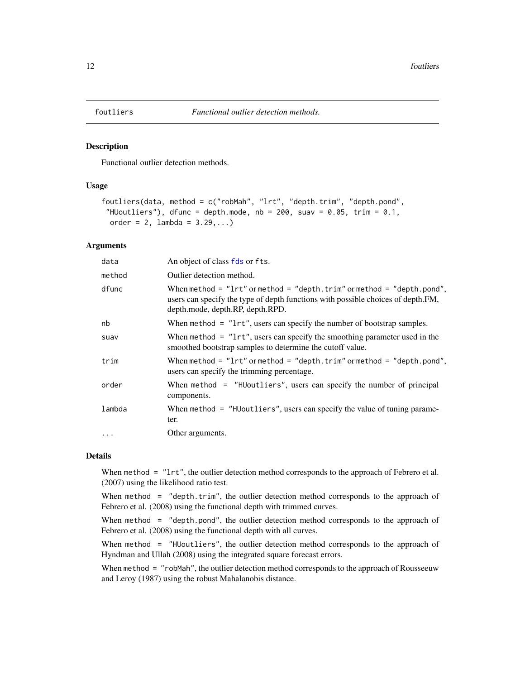<span id="page-11-0"></span>

# Description

Functional outlier detection methods.

#### Usage

```
foutliers(data, method = c("robMah", "lrt", "depth.trim", "depth.pond",
 "HUoutliers"), dfunc = depth.mode, nb = 200, suav = 0.05, trim = 0.1,
 order = 2, lambda = 3.29,...)
```
# Arguments

| data     | An object of class fds or fts.                                                                                                                                                                            |
|----------|-----------------------------------------------------------------------------------------------------------------------------------------------------------------------------------------------------------|
| method   | Outlier detection method.                                                                                                                                                                                 |
| dfunc    | When method = $"lrt"$ or method = $"depth . trim"$ or method = $"depth . pond",$<br>users can specify the type of depth functions with possible choices of depth. FM,<br>depth.mode, depth.RP, depth.RPD. |
| nb       | When method $=$ " $lrt$ ", users can specify the number of bootstrap samples.                                                                                                                             |
| suav     | When method $=$ " $lrt$ ", users can specify the smoothing parameter used in the<br>smoothed bootstrap samples to determine the cutoff value.                                                             |
| trim     | When method = $"lrt"$ or method = $"depth . trim"$ or method = $"depth . pond",$<br>users can specify the trimming percentage.                                                                            |
| order    | When method = "HUoutliers", users can specify the number of principal<br>components.                                                                                                                      |
| lambda   | When method = "HUoutliers", users can specify the value of tuning parame-<br>ter.                                                                                                                         |
| $\cdots$ | Other arguments.                                                                                                                                                                                          |

## Details

When method = "lrt", the outlier detection method corresponds to the approach of Febrero et al. (2007) using the likelihood ratio test.

When method  $=$  "depth.trim", the outlier detection method corresponds to the approach of Febrero et al. (2008) using the functional depth with trimmed curves.

When method = "depth.pond", the outlier detection method corresponds to the approach of Febrero et al. (2008) using the functional depth with all curves.

When method = "HUoutliers", the outlier detection method corresponds to the approach of Hyndman and Ullah (2008) using the integrated square forecast errors.

When method = "robMah", the outlier detection method corresponds to the approach of Rousseeuw and Leroy (1987) using the robust Mahalanobis distance.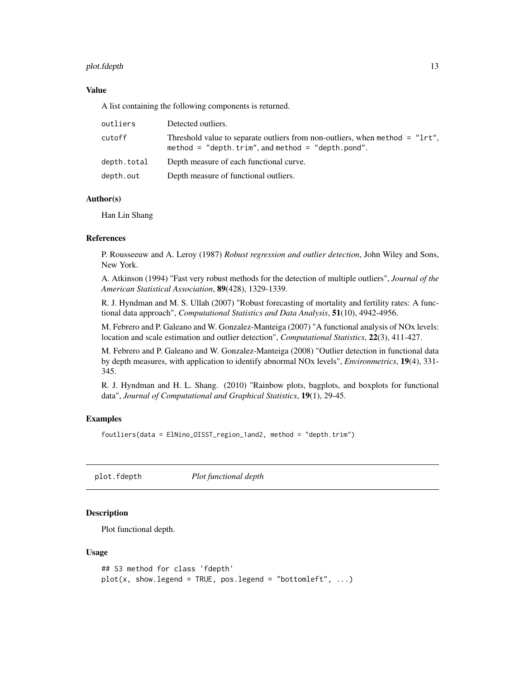#### <span id="page-12-0"></span>plot.fdepth that is a set of the set of the set of the set of the set of the set of the set of the set of the set of the set of the set of the set of the set of the set of the set of the set of the set of the set of the se

# Value

A list containing the following components is returned.

| outliers    | Detected outliers.                                                                                                                  |
|-------------|-------------------------------------------------------------------------------------------------------------------------------------|
| cutoff      | Threshold value to separate outliers from non-outliers, when method = "1rt",<br>method = $"depth.time", and method = "depth.pond".$ |
| depth.total | Depth measure of each functional curve.                                                                                             |
| depth.out   | Depth measure of functional outliers.                                                                                               |

# Author(s)

Han Lin Shang

### References

P. Rousseeuw and A. Leroy (1987) *Robust regression and outlier detection*, John Wiley and Sons, New York.

A. Atkinson (1994) "Fast very robust methods for the detection of multiple outliers", *Journal of the American Statistical Association*, 89(428), 1329-1339.

R. J. Hyndman and M. S. Ullah (2007) "Robust forecasting of mortality and fertility rates: A functional data approach", *Computational Statistics and Data Analysis*, 51(10), 4942-4956.

M. Febrero and P. Galeano and W. Gonzalez-Manteiga (2007) "A functional analysis of NOx levels: location and scale estimation and outlier detection", *Computational Statistics*, 22(3), 411-427.

M. Febrero and P. Galeano and W. Gonzalez-Manteiga (2008) "Outlier detection in functional data by depth measures, with application to identify abnormal NOx levels", *Environmetrics*, 19(4), 331- 345.

R. J. Hyndman and H. L. Shang. (2010) "Rainbow plots, bagplots, and boxplots for functional data", *Journal of Computational and Graphical Statistics*, 19(1), 29-45.

# Examples

foutliers(data = ElNino\_OISST\_region\_1and2, method = "depth.trim")

plot.fdepth *Plot functional depth*

# Description

Plot functional depth.

```
## S3 method for class 'fdepth'
plot(x, show.length = TRUE, pos.length = "bottomleft", ...)
```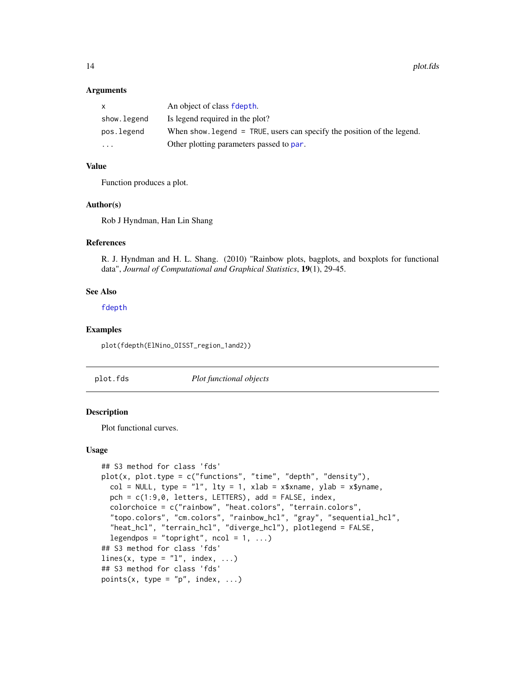#### <span id="page-13-0"></span>**Arguments**

| $\mathsf{x}$ | An object of class fdepth.                                               |
|--------------|--------------------------------------------------------------------------|
| show.legend  | Is legend required in the plot?                                          |
| pos.legend   | When show legend $=$ TRUE, users can specify the position of the legend. |
| $\cdot$      | Other plotting parameters passed to par.                                 |

# Value

Function produces a plot.

#### Author(s)

Rob J Hyndman, Han Lin Shang

#### References

R. J. Hyndman and H. L. Shang. (2010) "Rainbow plots, bagplots, and boxplots for functional data", *Journal of Computational and Graphical Statistics*, 19(1), 29-45.

#### See Also

[fdepth](#page-8-1)

#### Examples

plot(fdepth(ElNino\_OISST\_region\_1and2))

plot.fds *Plot functional objects*

#### <span id="page-13-1"></span>Description

Plot functional curves.

```
## S3 method for class 'fds'
plot(x, plot.type = c("functions", "time", "depth", "density"),
 col = NULL, type = "l", lty = 1, xlab = x$xname, ylab = x$yname,
 pch = c(1:9,0, letters, LETTERS), add = FALSE, index,
 colorchoice = c("rainbow", "heat.colors", "terrain.colors",
 "topo.colors", "cm.colors", "rainbow_hcl", "gray", "sequential_hcl",
  "heat_hcl", "terrain_hcl", "diverge_hcl"), plotlegend = FALSE,
 legendpos = "topright", ncol = 1, ...)
## S3 method for class 'fds'
lines(x, type = "l", index, ...)
## S3 method for class 'fds'
points(x, type = "p", index, ...)
```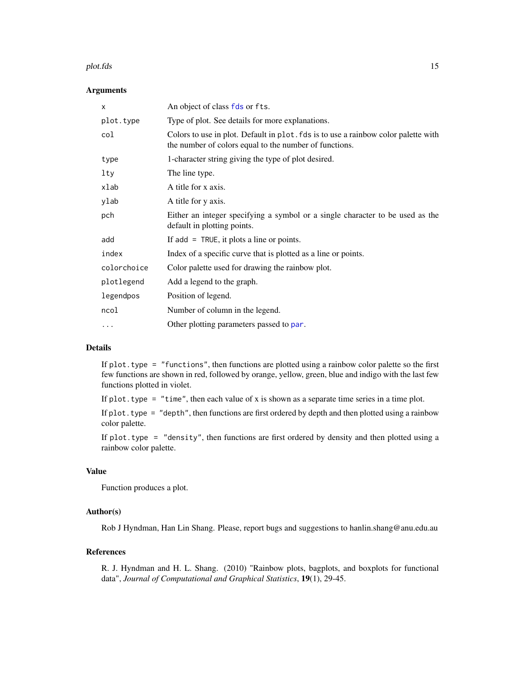#### <span id="page-14-0"></span>plot.fds 15

#### Arguments

| X           | An object of class fds or fts.                                                                                                               |
|-------------|----------------------------------------------------------------------------------------------------------------------------------------------|
| plot.type   | Type of plot. See details for more explanations.                                                                                             |
| col         | Colors to use in plot. Default in plot. fds is to use a rainbow color palette with<br>the number of colors equal to the number of functions. |
| type        | 1-character string giving the type of plot desired.                                                                                          |
| lty         | The line type.                                                                                                                               |
| xlab        | A title for x axis.                                                                                                                          |
| ylab        | A title for y axis.                                                                                                                          |
| pch         | Either an integer specifying a symbol or a single character to be used as the<br>default in plotting points.                                 |
| add         | If $add = TRUE$ , it plots a line or points.                                                                                                 |
| index       | Index of a specific curve that is plotted as a line or points.                                                                               |
| colorchoice | Color palette used for drawing the rainbow plot.                                                                                             |
| plotlegend  | Add a legend to the graph.                                                                                                                   |
| legendpos   | Position of legend.                                                                                                                          |
| ncol        | Number of column in the legend.                                                                                                              |
| .           | Other plotting parameters passed to par.                                                                                                     |
|             |                                                                                                                                              |

# Details

If plot.type = "functions", then functions are plotted using a rainbow color palette so the first few functions are shown in red, followed by orange, yellow, green, blue and indigo with the last few functions plotted in violet.

If plot. type  $=$  "time", then each value of x is shown as a separate time series in a time plot.

If plot. type  $=$  "depth", then functions are first ordered by depth and then plotted using a rainbow color palette.

If plot.type = "density", then functions are first ordered by density and then plotted using a rainbow color palette.

# Value

Function produces a plot.

# Author(s)

Rob J Hyndman, Han Lin Shang. Please, report bugs and suggestions to hanlin.shang@anu.edu.au

# References

R. J. Hyndman and H. L. Shang. (2010) "Rainbow plots, bagplots, and boxplots for functional data", *Journal of Computational and Graphical Statistics*, 19(1), 29-45.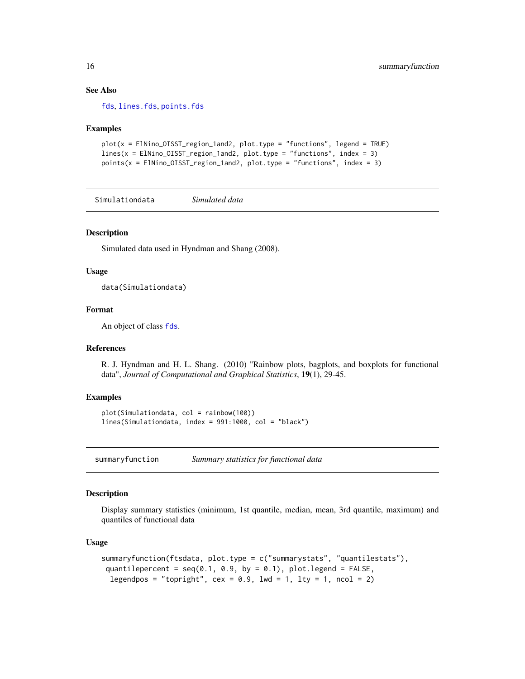# See Also

[fds](#page-9-1), [lines.fds](#page-13-1), [points.fds](#page-13-1)

#### Examples

```
plot(x = ElNino_OISST_region_1and2, plot.type = "functions", legend = TRUE)
lines(x = ElNino_OISST-region_1and2, plot_type = "functions", index = 3)points(x = EINino_OISST-region\_land2, plot_type = "functions", index = 3)
```
Simulationdata *Simulated data*

#### **Description**

Simulated data used in Hyndman and Shang (2008).

#### Usage

data(Simulationdata)

#### Format

An object of class [fds](#page-9-1).

#### References

R. J. Hyndman and H. L. Shang. (2010) "Rainbow plots, bagplots, and boxplots for functional data", *Journal of Computational and Graphical Statistics*, 19(1), 29-45.

#### Examples

```
plot(Simulationdata, col = rainbow(100))
lines(Simulationdata, index = 991:1000, col = "black")
```
summaryfunction *Summary statistics for functional data*

#### Description

Display summary statistics (minimum, 1st quantile, median, mean, 3rd quantile, maximum) and quantiles of functional data

```
summaryfunction(ftsdata, plot.type = c("summarystats", "quantilestats"),
quantilepercent = seq(0.1, 0.9, by = 0.1), plot.legend = FALSE,
 legendpos = "topright", cex = 0.9, lwd = 1, lty = 1, ncol = 2)
```
<span id="page-15-0"></span>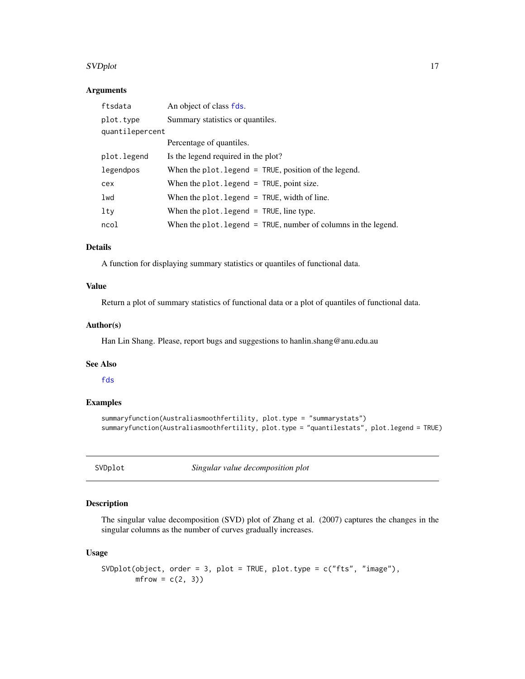#### <span id="page-16-0"></span>SVDplot the state of the state of the state of the state of the state of the state of the state of the state of the state of the state of the state of the state of the state of the state of the state of the state of the st

# Arguments

| ftsdata         | An object of class fds.                                          |
|-----------------|------------------------------------------------------------------|
| plot.type       | Summary statistics or quantiles.                                 |
| quantilepercent |                                                                  |
|                 | Percentage of quantiles.                                         |
| plot.legend     | Is the legend required in the plot?                              |
| legendpos       | When the $plot$ . legend = TRUE, position of the legend.         |
| cex             | When the $plot$ . legend = TRUE, point size.                     |
| lwd             | When the plot. legend $=$ TRUE, width of line.                   |
| lty             | When the plot. legend $=$ TRUE, line type.                       |
| ncol            | When the plot. legend $=$ TRUE, number of columns in the legend. |

# Details

A function for displaying summary statistics or quantiles of functional data.

## Value

Return a plot of summary statistics of functional data or a plot of quantiles of functional data.

#### Author(s)

Han Lin Shang. Please, report bugs and suggestions to hanlin.shang@anu.edu.au

# See Also

[fds](#page-9-1)

#### Examples

```
summaryfunction(Australiasmoothfertility, plot.type = "summarystats")
summaryfunction(Australiasmoothfertility, plot.type = "quantilestats", plot.legend = TRUE)
```
<span id="page-16-1"></span>SVDplot *Singular value decomposition plot*

# Description

The singular value decomposition (SVD) plot of Zhang et al. (2007) captures the changes in the singular columns as the number of curves gradually increases.

```
SVDplot(object, order = 3, plot = TRUE, plot.type = c("fts", "image"),
       mfrow = c(2, 3)
```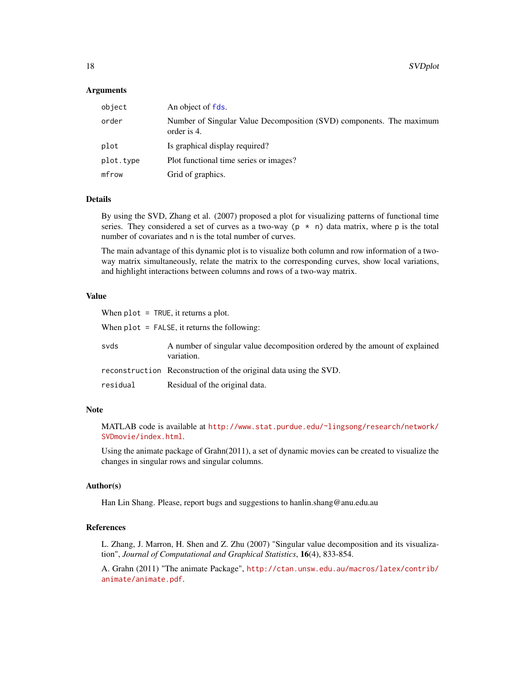#### <span id="page-17-0"></span>Arguments

| object    | An object of fds.                                                                   |
|-----------|-------------------------------------------------------------------------------------|
| order     | Number of Singular Value Decomposition (SVD) components. The maximum<br>order is 4. |
| plot      | Is graphical display required?                                                      |
| plot.type | Plot functional time series or images?                                              |
| mfrow     | Grid of graphics.                                                                   |

#### Details

By using the SVD, Zhang et al. (2007) proposed a plot for visualizing patterns of functional time series. They considered a set of curves as a two-way ( $p \star n$ ) data matrix, where p is the total number of covariates and n is the total number of curves.

The main advantage of this dynamic plot is to visualize both column and row information of a twoway matrix simultaneously, relate the matrix to the corresponding curves, show local variations, and highlight interactions between columns and rows of a two-way matrix.

### Value

When  $plot = TRUE$ , it returns a plot.

When plot = FALSE, it returns the following:

| svds     | A number of singular value decomposition ordered by the amount of explained<br>variation. |
|----------|-------------------------------------------------------------------------------------------|
|          | reconstruction Reconstruction of the original data using the SVD.                         |
| residual | Residual of the original data.                                                            |

#### **Note**

MATLAB code is available at [http://www.stat.purdue.edu/~lingsong/research/network/](http://www.stat.purdue.edu/~lingsong/research/network/SVDmovie/index.html) [SVDmovie/index.html](http://www.stat.purdue.edu/~lingsong/research/network/SVDmovie/index.html).

Using the animate package of Grahn(2011), a set of dynamic movies can be created to visualize the changes in singular rows and singular columns.

#### Author(s)

Han Lin Shang. Please, report bugs and suggestions to hanlin.shang@anu.edu.au

# References

L. Zhang, J. Marron, H. Shen and Z. Zhu (2007) "Singular value decomposition and its visualization", *Journal of Computational and Graphical Statistics*, 16(4), 833-854.

A. Grahn (2011) "The animate Package", [http://ctan.unsw.edu.au/macros/latex/contrib/](http://ctan.unsw.edu.au/macros/latex/contrib/animate/animate.pdf) [animate/animate.pdf](http://ctan.unsw.edu.au/macros/latex/contrib/animate/animate.pdf).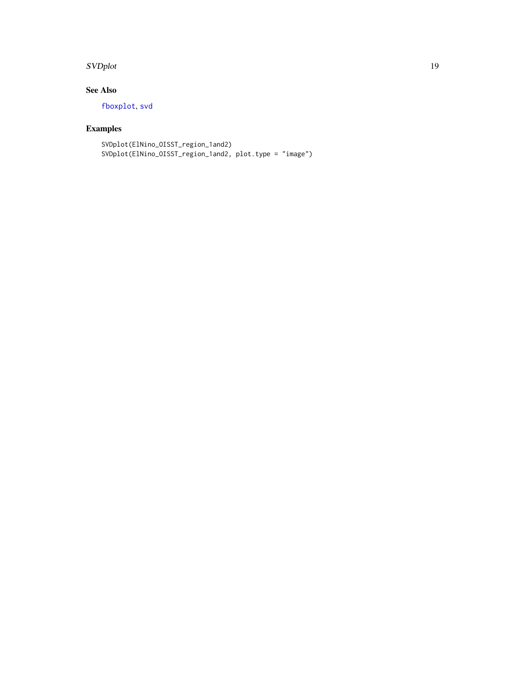#### <span id="page-18-0"></span>SVDplot the state of the state of the state of the state of the state of the state of the state of the state of the state of the state of the state of the state of the state of the state of the state of the state of the st

# See Also

[fboxplot](#page-6-1), [svd](#page-0-0)

# Examples

SVDplot(ElNino\_OISST\_region\_1and2) SVDplot(ElNino\_OISST\_region\_1and2, plot.type = "image")